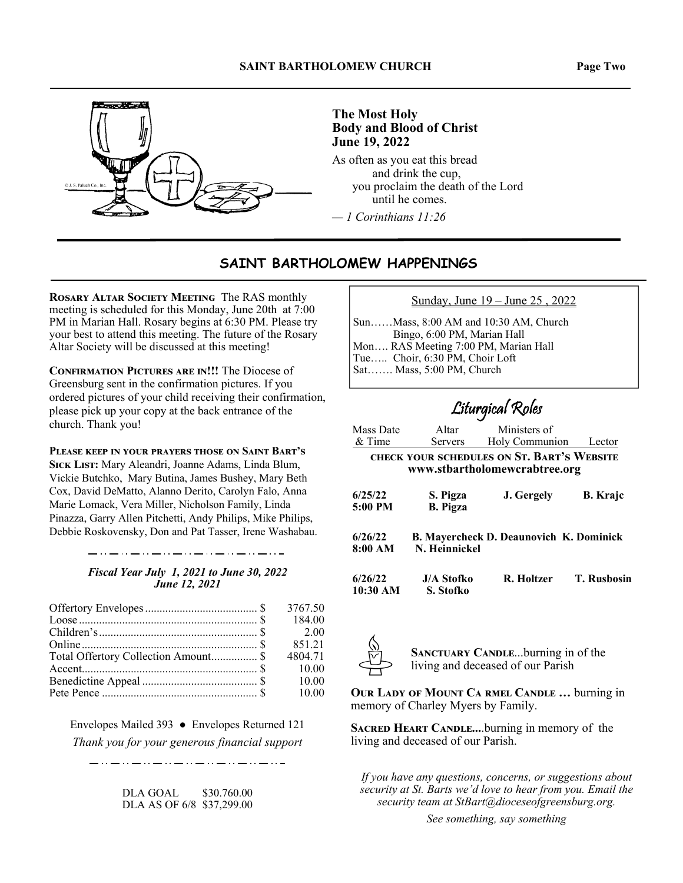



## **The Most Holy Body and Blood of Christ June 19, 2022**

As often as you eat this bread and drink the cup, you proclaim the death of the Lord until he comes.

*— 1 Corinthians 11:26*

## **SAINT BARTHOLOMEW HAPPENINGS**

**ROSARY ALTAR SOCIETY MEETING The RAS monthly** meeting is scheduled for this Monday, June 20th at 7:00 PM in Marian Hall. Rosary begins at 6:30 PM. Please try your best to attend this meeting. The future of the Rosary Altar Society will be discussed at this meeting!

**CONFIRMATION PICTURES ARE IN!!! The Diocese of** Greensburg sent in the confirmation pictures. If you ordered pictures of your child receiving their confirmation, please pick up your copy at the back entrance of the church. Thank you!

**PLEASE KEEP IN YOUR PRAYERS THOSE ON SAINT BART'S** SICK LIST: Mary Aleandri, Joanne Adams, Linda Blum, Vickie Butchko, Mary Butina, James Bushey, Mary Beth Cox, David DeMatto, Alanno Derito, Carolyn Falo, Anna Marie Lomack, Vera Miller, Nicholson Family, Linda Pinazza, Garry Allen Pitchetti, Andy Philips, Mike Philips, Debbie Roskovensky, Don and Pat Tasser, Irene Washabau.

## 

*Fiscal Year July 1, 2021 to June 30, 2022 June 12, 2021* 

|                                      | 3767.50 |
|--------------------------------------|---------|
|                                      | 184.00  |
|                                      |         |
|                                      | 851.21  |
| Total Offertory Collection Amount \$ | 4804.71 |
|                                      | 10.00   |
|                                      | 10.00   |
|                                      | 10.00   |

Envelopes Mailed 393 ● Envelopes Returned 121 *Thank you for your generous financial support* 

المالان والمساوي والمساوي والمساوي المساوي المساوي المساوي المساوي المار

DLA GOAL \$30.760.00 DLA AS OF 6/8 \$37,299.00 Sunday, June 19 – June 25 , 2022

Sun……Mass, 8:00 AM and 10:30 AM, Church Bingo, 6:00 PM, Marian Hall Mon…. RAS Meeting 7:00 PM, Marian Hall Tue….. Choir, 6:30 PM, Choir Loft Sat……. Mass, 5:00 PM, Church

## Liturgical Roles

| Mass Date                                                                   | Altar                       | Ministers of                                   |                    |  |
|-----------------------------------------------------------------------------|-----------------------------|------------------------------------------------|--------------------|--|
| & Time                                                                      | <b>Servers</b>              | Holy Communion                                 | Lector             |  |
| CHECK YOUR SCHEDULES ON ST. BART'S WEBSITE<br>www.stbartholomewcrabtree.org |                             |                                                |                    |  |
| 6/25/22<br>$5:00$ PM                                                        | S. Pigza<br><b>B.</b> Pigza | J. Gergely                                     | <b>B.</b> Krajc    |  |
| 6/26/22<br>8:00 AM                                                          | N. Heinnickel               | <b>B. Mayercheck D. Deaunovich K. Dominick</b> |                    |  |
| 6/26/22<br>10:30 AM                                                         | J/A Stofko<br>S. Stofko     | R. Holtzer                                     | <b>T. Rusbosin</b> |  |



**SANCTUARY CANDLE...burning in of the** living and deceased of our Parish

**OUR LADY OF MOUNT CA RMEL CANDLE ... burning in** memory of Charley Myers by Family.

**SACRED HEART CANDLE....burning in memory of the** living and deceased of our Parish.

*If you have any questions, concerns, or suggestions about security at St. Barts we'd love to hear from you. Email the security team at StBart@dioceseofgreensburg.org.* 

*See something, say something*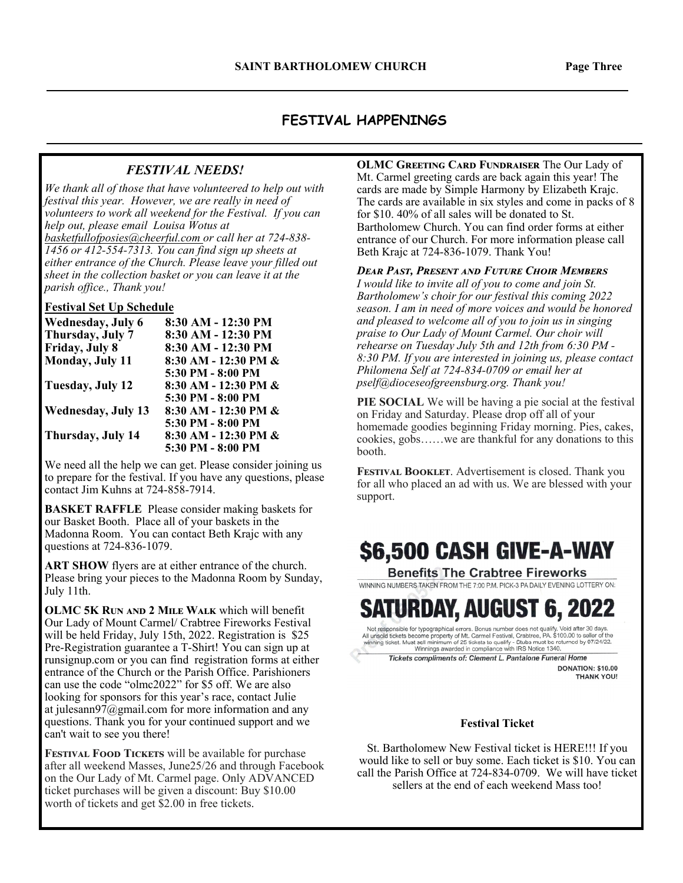### **FESTIVAL HAPPENINGS**

### *FESTIVAL NEEDS!*

*We thank all of those that have volunteered to help out with festival this year. However, we are really in need of volunteers to work all weekend for the Festival. If you can help out, please email Louisa Wotus at basketfullofposies@cheerful.com or call her at 724-838- 1456 or 412-554-7313. You can find sign up sheets at either entrance of the Church. Please leave your filled out sheet in the collection basket or you can leave it at the parish office., Thank you!* 

### **Festival Set Up Schedule**

| Wednesday, July 6         | 8:30 AM - 12:30 PM   |
|---------------------------|----------------------|
| Thursday, July 7          | 8:30 AM - 12:30 PM   |
| Friday, July 8            | 8:30 AM - 12:30 PM   |
| Monday, July 11           | 8:30 AM - 12:30 PM & |
|                           | 5:30 PM - 8:00 PM    |
| Tuesday, July 12          | 8:30 AM - 12:30 PM & |
|                           | 5:30 PM - 8:00 PM    |
| <b>Wednesday, July 13</b> | 8:30 AM - 12:30 PM & |
|                           | 5:30 PM - 8:00 PM    |
| Thursday, July 14         | 8:30 AM - 12:30 PM & |
|                           | 5:30 PM - 8:00 PM    |

We need all the help we can get. Please consider joining us to prepare for the festival. If you have any questions, please contact Jim Kuhns at 724-858-7914.

**BASKET RAFFLE** Please consider making baskets for our Basket Booth. Place all of your baskets in the Madonna Room. You can contact Beth Krajc with any questions at 724-836-1079.

**ART SHOW** flyers are at either entrance of the church. Please bring your pieces to the Madonna Room by Sunday, July 11th.

**OLMC 5K RUN AND 2 MILE WALK** which will benefit Our Lady of Mount Carmel/ Crabtree Fireworks Festival will be held Friday, July 15th, 2022. Registration is \$25 Pre-Registration guarantee a T-Shirt! You can sign up at runsignup.com or you can find registration forms at either entrance of the Church or the Parish Office. Parishioners can use the code "olmc2022" for \$5 off. We are also looking for sponsors for this year's race, contact Julie at julesann $97$ @gmail.com for more information and any questions. Thank you for your continued support and we can't wait to see you there!

FESTIVAL FOOD TICKETS will be available for purchase after all weekend Masses, June25/26 and through Facebook on the Our Lady of Mt. Carmel page. Only ADVANCED ticket purchases will be given a discount: Buy \$10.00 worth of tickets and get \$2.00 in free tickets.

**OLMC GREETING CARD FUNDRAISER The Our Lady of** Mt. Carmel greeting cards are back again this year! The cards are made by Simple Harmony by Elizabeth Krajc. The cards are available in six styles and come in packs of 8 for \$10. 40% of all sales will be donated to St. Bartholomew Church. You can find order forms at either entrance of our Church. For more information please call Beth Krajc at 724-836-1079. Thank You!

#### *DEAR PAST, PRESENT AND FUTURE CHOIR MEMBERS*

*I would like to invite all of you to come and join St. Bartholomew's choir for our festival this coming 2022 season. I am in need of more voices and would be honored and pleased to welcome all of you to join us in singing praise to Our Lady of Mount Carmel. Our choir will rehearse on Tuesday July 5th and 12th from 6:30 PM - 8:30 PM. If you are interested in joining us, please contact Philomena Self at 724-834-0709 or email her at pself@dioceseofgreensburg.org. Thank you!* 

**PIE SOCIAL** We will be having a pie social at the festival on Friday and Saturday. Please drop off all of your homemade goodies beginning Friday morning. Pies, cakes, cookies, gobs……we are thankful for any donations to this booth.

FESTIVAL BOOKLET. Advertisement is closed. Thank you for all who placed an ad with us. We are blessed with your support.

# \$6,500 CASH GIVE-A-WAY

**Benefits The Crabtree Fireworks** WINNING NUMBERS TAKEN FROM THE 7:00 P.M. PICK-3 PA DAILY EVENING LOTTERY ON:

# Saturday, August 6, 20

Not responsible for typographical errors. Bonus number does not qualify. Void after 30 days.<br>All unsold tickets become property of Mt. Camel Festival, Crabtree, PA, \$100.00 to seller of the winning ticket. Must sell minimu

Tickets compliments of: Clement L. Pantalone Funeral Home **DONATION: \$10.00** 

**THANK YOU!** 

#### **Festival Ticket**

St. Bartholomew New Festival ticket is HERE!!! If you would like to sell or buy some. Each ticket is \$10. You can call the Parish Office at 724-834-0709. We will have ticket sellers at the end of each weekend Mass too!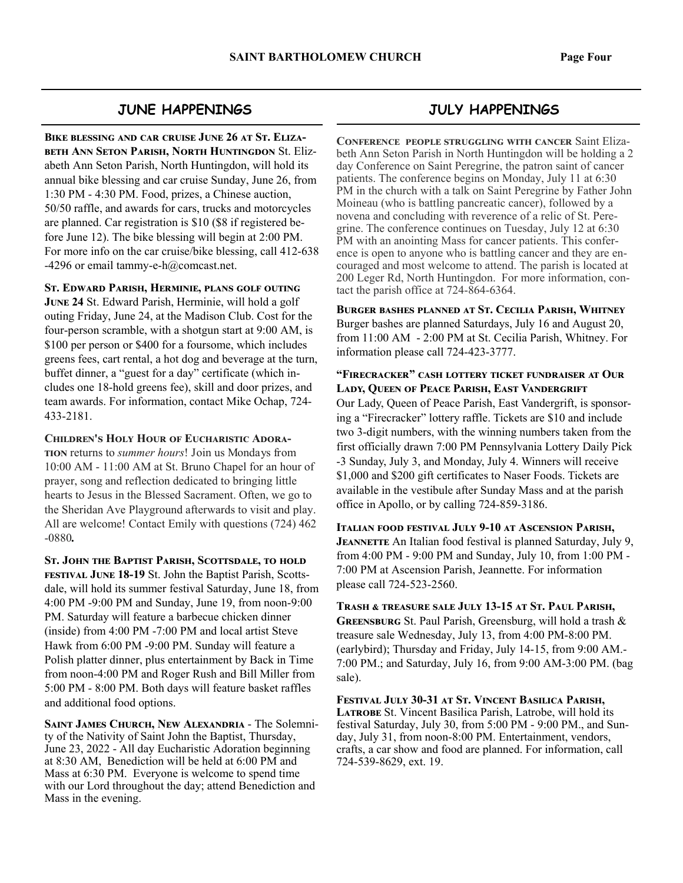### **JUNE HAPPENINGS**

BIKE BLESSING AND CAR CRUISE JUNE 26 AT ST. ELIZA-**BETH ANN SETON PARISH, NORTH HUNTINGDON St. Eliz**abeth Ann Seton Parish, North Huntingdon, will hold its annual bike blessing and car cruise Sunday, June 26, from 1:30 PM - 4:30 PM. Food, prizes, a Chinese auction, 50/50 raffle, and awards for cars, trucks and motorcycles are planned. Car registration is \$10 (\$8 if registered before June 12). The bike blessing will begin at 2:00 PM. For more info on the car cruise/bike blessing, call 412-638 -4296 or email tammy-e-h $@$ comcast.net.

**ST. EDWARD PARISH, HERMINIE, PLANS GOLF OUTING** 

**JUNE 24 St. Edward Parish, Herminie, will hold a golf** outing Friday, June 24, at the Madison Club. Cost for the four-person scramble, with a shotgun start at 9:00 AM, is \$100 per person or \$400 for a foursome, which includes greens fees, cart rental, a hot dog and beverage at the turn, buffet dinner, a "guest for a day" certificate (which includes one 18-hold greens fee), skill and door prizes, and team awards. For information, contact Mike Ochap, 724- 433-2181.

**CHILDREN'S HOLY HOUR OF EUCHARISTIC ADORA-TION** returns to *summer hours*! Join us Mondays from 10:00 AM - 11:00 AM at St. Bruno Chapel for an hour of prayer, song and reflection dedicated to bringing little hearts to Jesus in the Blessed Sacrament. Often, we go to the Sheridan Ave Playground afterwards to visit and play. All are welcome! Contact Emily with questions (724) 462 -0880*.* 

ST. JOHN THE BAPTIST PARISH, SCOTTSDALE, TO HOLD **FESTIVAL JUNE 18-19** St. John the Baptist Parish, Scottsdale, will hold its summer festival Saturday, June 18, from 4:00 PM -9:00 PM and Sunday, June 19, from noon-9:00 PM. Saturday will feature a barbecue chicken dinner (inside) from 4:00 PM -7:00 PM and local artist Steve Hawk from 6:00 PM -9:00 PM. Sunday will feature a Polish platter dinner, plus entertainment by Back in Time from noon-4:00 PM and Roger Rush and Bill Miller from 5:00 PM - 8:00 PM. Both days will feature basket raffles and additional food options.

**SAINT JAMES CHURCH, NEW ALEXANDRIA - The Solemni**ty of the Nativity of Saint John the Baptist, Thursday, June 23, 2022 - All day Eucharistic Adoration beginning at 8:30 AM, Benediction will be held at 6:00 PM and Mass at 6:30 PM. Everyone is welcome to spend time with our Lord throughout the day; attend Benediction and Mass in the evening.

## **JULY HAPPENINGS**

**CONFERENCE PEOPLE STRUGGLING WITH CANCER Saint Eliza**beth Ann Seton Parish in North Huntingdon will be holding a 2 day Conference on Saint Peregrine, the patron saint of cancer patients. The conference begins on Monday, July 11 at 6:30 PM in the church with a talk on Saint Peregrine by Father John Moineau (who is battling pancreatic cancer), followed by a novena and concluding with reverence of a relic of St. Peregrine. The conference continues on Tuesday, July 12 at 6:30 PM with an anointing Mass for cancer patients. This conference is open to anyone who is battling cancer and they are encouraged and most welcome to attend. The parish is located at 200 Leger Rd, North Huntingdon. For more information, contact the parish office at 724-864-6364.

BURGER BASHES PLANNED AT ST. CECILIA PARISH, WHITNEY Burger bashes are planned Saturdays, July 16 and August 20, from 11:00 AM - 2:00 PM at St. Cecilia Parish, Whitney. For information please call 724-423-3777.

**"FIRECRACKER" CASH LOTTERY TICKET FUNDRAISER AT OUR LADY, QUEEN OF PEACE PARISH, EAST VANDERGRIFT** Our Lady, Queen of Peace Parish, East Vandergrift, is sponsoring a "Firecracker" lottery raffle. Tickets are \$10 and include two 3-digit numbers, with the winning numbers taken from the first officially drawn 7:00 PM Pennsylvania Lottery Daily Pick -3 Sunday, July 3, and Monday, July 4. Winners will receive \$1,000 and \$200 gift certificates to Naser Foods. Tickets are available in the vestibule after Sunday Mass and at the parish office in Apollo, or by calling 724-859-3186.

**ITALIAN FOOD FESTIVAL JULY 9-10 AT ASCENSION PARISH, JEANNETTE** An Italian food festival is planned Saturday, July 9, from 4:00 PM - 9:00 PM and Sunday, July 10, from 1:00 PM - 7:00 PM at Ascension Parish, Jeannette. For information please call 724-523-2560.

TRASH & TREASURE SALE JULY 13-15 AT ST. PAUL PARISH, **GREENSBURG** St. Paul Parish, Greensburg, will hold a trash & treasure sale Wednesday, July 13, from 4:00 PM-8:00 PM. (earlybird); Thursday and Friday, July 14-15, from 9:00 AM.- 7:00 PM.; and Saturday, July 16, from 9:00 AM-3:00 PM. (bag sale).

FESTIVAL JULY 30-31 AT ST. VINCENT BASILICA PARISH, LATROBE St. Vincent Basilica Parish, Latrobe, will hold its festival Saturday, July 30, from 5:00 PM - 9:00 PM., and Sunday, July 31, from noon-8:00 PM. Entertainment, vendors, crafts, a car show and food are planned. For information, call 724-539-8629, ext. 19.